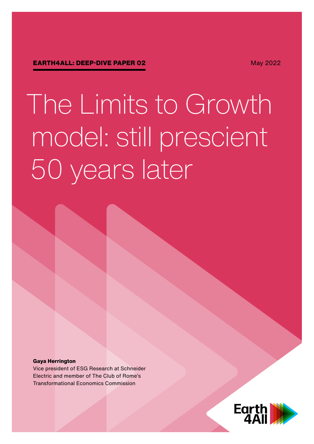May 2022

# The Limits to Growth model: still prescient 50 years later

#### **Gaya Herrington**

Vice president of ESG Research at Schneider Electric and member of The Club of Rome's Transformational Economics Commission

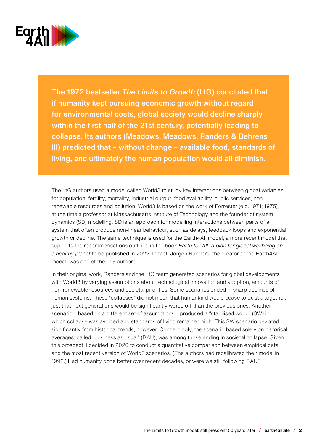

The 1972 bestseller *The Limits to Growth* (LtG) concluded that if humanity kept pursuing economic growth without regard for environmental costs, global society would decline sharply within the first half of the 21st century, potentially leading to collapse. Its authors (Meadows, Meadows, Randers & Behrens III) predicted that – without change – available food, standards of living, and ultimately the human population would all diminish.

The LtG authors used a model called World3 to study key interactions between global variables for population, fertility, mortality, industrial output, food availability, public services, nonrenewable resources and pollution. World3 is based on the work of Forrester (e.g. 1971; 1975), at the time a professor at Massachusetts Institute of Technology and the founder of system dynamics (SD) modelling. SD is an approach for modelling interactions between parts of a system that often produce non-linear behaviour, such as delays, feedback loops and exponential growth or decline. The same technique is used for the Earth4All model, a more recent model that supports the recommendations outlined in the book *Earth for All: A plan for global wellbeing on a healthy planet* to be published in 2022. In fact, Jorgen Randers, the creator of the Earth4All model, was one of the LtG authors.

In their original work, Randers and the LtG team generated scenarios for global developments with World3 by varying assumptions about technological innovation and adoption, amounts of non-renewable resources and societal priorities. Some scenarios ended in sharp declines of human systems. These "collapses" did not mean that humankind would cease to exist altogether, just that next generations would be significantly worse off than the previous ones. Another scenario – based on a different set of assumptions – produced a "stabilised world" (SW) in which collapse was avoided and standards of living remained high. This SW scenario deviated significantly from historical trends, however. Concerningly, the scenario based solely on historical averages, called "business as usual" (BAU), was among those ending in societal collapse. Given this prospect, I decided in 2020 to conduct a quantitative comparison between empirical data and the most recent version of World3 scenarios. (The authors had recalibrated their model in 1992.) Had humanity done better over recent decades, or were we still following BAU?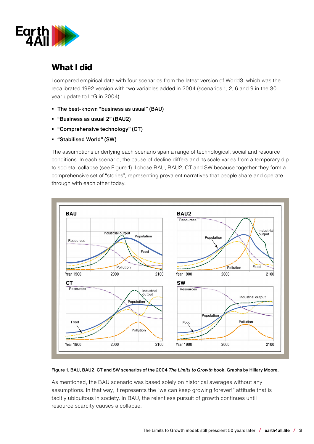

## **What I did**

I compared empirical data with four scenarios from the latest version of World3, which was the recalibrated 1992 version with two variables added in 2004 (scenarios 1, 2, 6 and 9 in the 30 year update to LtG in 2004):

- The best-known "business as usual" (BAU)
- "Business as usual 2" (BAU2)
- "Comprehensive technology" (CT)
- "Stabilised World" (SW)

The assumptions underlying each scenario span a range of technological, social and resource conditions. In each scenario, the cause of decline differs and its scale varies from a temporary dip to societal collapse (see Figure 1). I chose BAU, BAU2, CT and SW because together they form a comprehensive set of "stories", representing prevalent narratives that people share and operate through with each other today.



#### Figure 1. BAU, BAU2, CT and SW scenarios of the 2004 *The Limits to Growth* book. Graphs by Hillary Moore.

As mentioned, the BAU scenario was based solely on historical averages without any assumptions. In that way, it represents the "we can keep growing forever!" attitude that is tacitly ubiquitous in society. In BAU, the relentless pursuit of growth continues until resource scarcity causes a collapse.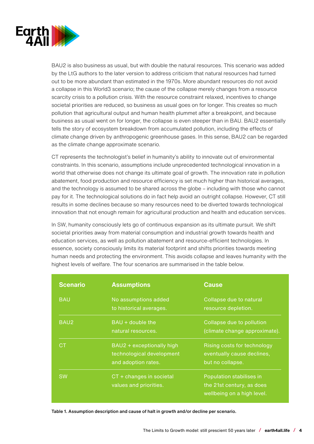

BAU2 is also business as usual, but with double the natural resources. This scenario was added by the LtG authors to the later version to address criticism that natural resources had turned out to be more abundant than estimated in the 1970s. More abundant resources do not avoid a collapse in this World3 scenario; the cause of the collapse merely changes from a resource scarcity crisis to a pollution crisis. With the resource constraint relaxed, incentives to change societal priorities are reduced, so business as usual goes on for longer. This creates so much pollution that agricultural output and human health plummet after a breakpoint, and because business as usual went on for longer, the collapse is even steeper than in BAU. BAU2 essentially tells the story of ecosystem breakdown from accumulated pollution, including the effects of climate change driven by anthropogenic greenhouse gases. In this sense, BAU2 can be regarded as the climate change approximate scenario.

CT represents the technologist's belief in humanity's ability to innovate out of environmental constraints. In this scenario, assumptions include unprecedented technological innovation in a world that otherwise does not change its ultimate goal of growth. The innovation rate in pollution abatement, food production and resource efficiency is set much higher than historical averages, and the technology is assumed to be shared across the globe – including with those who cannot pay for it. The technological solutions do in fact help avoid an outright collapse. However, CT still results in some declines because so many resources need to be diverted towards technological innovation that not enough remain for agricultural production and health and education services.

In SW, humanity consciously lets go of continuous expansion as its ultimate pursuit. We shift societal priorities away from material consumption and industrial growth towards health and education services, as well as pollution abatement and resource-efficient technologies. In essence, society consciously limits its material footprint and shifts priorities towards meeting human needs and protecting the environment. This avoids collapse and leaves humanity with the highest levels of welfare. The four scenarios are summarised in the table below.

| <b>Scenario</b> | <b>Assumptions</b>                                                            | <b>Cause</b>                                                                        |
|-----------------|-------------------------------------------------------------------------------|-------------------------------------------------------------------------------------|
| <b>BAU</b>      | No assumptions added<br>to historical averages.                               | Collapse due to natural<br>resource depletion.                                      |
| BAU2            | BAU + double the<br>natural resources.                                        | Collapse due to pollution<br>(climate change approximate).                          |
| CТ              | BAU2 + exceptionally high<br>technological development<br>and adoption rates. | Rising costs for technology<br>eventually cause declines,<br>but no collapse.       |
| <b>SW</b>       | CT + changes in societal<br>values and priorities.                            | Population stabilises in<br>the 21st century, as does<br>wellbeing on a high level. |

Table 1. Assumption description and cause of halt in growth and/or decline per scenario.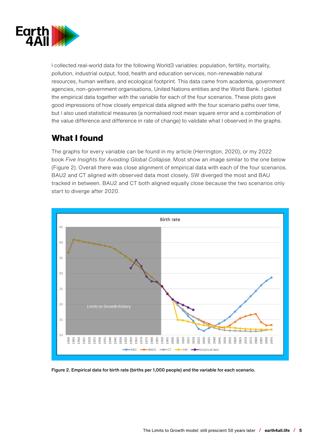

I collected real-world data for the following World3 variables: population, fertility, mortality, pollution, industrial output, food, health and education services, non-renewable natural resources, human welfare, and ecological footprint. This data came from academia, government agencies, non-government organisations, United Nations entities and the World Bank. I plotted the empirical data together with the variable for each of the four scenarios. These plots gave good impressions of how closely empirical data aligned with the four scenario paths over time, but I also used statistical measures (a normalised root mean square error and a combination of the value difference and difference in rate of change) to validate what I observed in the graphs.

# **What I found**

The graphs for every variable can be found in my article (Herrington, 2020), or my 2022 book *Five Insights for Avoiding Global Collapse*. Most show an image similar to the one below (Figure 2). Overall there was close alignment of empirical data with each of the four scenarios. BAU2 and CT aligned with observed data most closely, SW diverged the most and BAU tracked in between. BAU2 and CT both aligned equally close because the two scenarios only start to diverge after 2020.



Figure 2. Empirical data for birth rate (births per 1,000 people) and the variable for each scenario.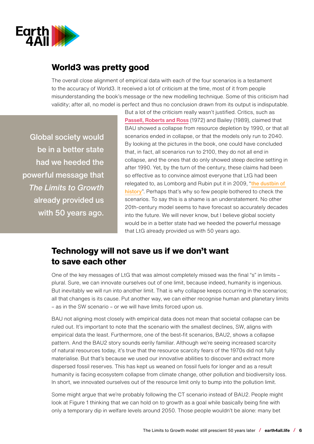

## **World3 was pretty good**

The overall close alignment of empirical data with each of the four scenarios is a testament to the accuracy of World3. It received a lot of criticism at the time, most of it from people misunderstanding the book's message or the new modelling technique. Some of this criticism had validity; after all, no model is perfect and thus no conclusion drawn from its output is indisputable.

Global society would be in a better state had we heeded the powerful message that *The Limits to Growth* already provided us with 50 years ago.

But a lot of the criticism really wasn't justified. Critics, such as [Passell, Roberts and Ross](https://www.nytimes.com/1972/04/02/archives/the-limits-to-growth-a-report-for-the-club-of-romes-project-on-the.html) (1972) and Bailey (1989), claimed that BAU showed a collapse from resource depletion by 1990, or that all scenarios ended in collapse, or that the models only run to 2040. By looking at the pictures in the book, one could have concluded that, in fact, all scenarios run to 2100, they do not all end in collapse, and the ones that do only showed steep decline setting in after 1990. Yet, by the turn of the century, these claims had been so effective as to convince almost everyone that LtG had been relegated to, as Lomborg and Rubin put it in 2009, "[the dustbin of](https://foreignpolicy.com/2009/11/09/the-dustbin-of-history-limits-to-growth/)  [history](https://foreignpolicy.com/2009/11/09/the-dustbin-of-history-limits-to-growth/)". Perhaps that's why so few people bothered to check the scenarios. To say this is a shame is an understatement. No other 20th-century model seems to have forecast so accurately decades into the future. We will never know, but I believe global society would be in a better state had we heeded the powerful message that LtG already provided us with 50 years ago.

### **Technology will not save us if we don't want to save each other**

One of the key messages of LtG that was almost completely missed was the final "s" in limits – plural. Sure, we can innovate ourselves out of one limit, because indeed, humanity is ingenious. But inevitably we will run into another limit. That is why collapse keeps occurring in the scenarios; all that changes is its cause. Put another way, we can either recognise human and planetary limits – as in the SW scenario – or we will have limits forced upon us.

BAU not aligning most closely with empirical data does not mean that societal collapse can be ruled out. It's important to note that the scenario with the smallest declines, SW, aligns with empirical data the least. Furthermore, one of the best-fit scenarios, BAU2, shows a collapse pattern. And the BAU2 story sounds eerily familiar. Although we're seeing increased scarcity of natural resources today, it's true that the resource scarcity fears of the 1970s did not fully materialise. But that's because we used our innovative abilities to discover and extract more dispersed fossil reserves. This has kept us weaned on fossil fuels for longer and as a result humanity is facing ecosystem collapse from climate change, other pollution and biodiversity loss. In short, we innovated ourselves out of the resource limit only to bump into the pollution limit.

Some might argue that we're probably following the CT scenario instead of BAU2. People might look at Figure 1 thinking that we can hold on to growth as a goal while basically being fine with only a temporary dip in welfare levels around 2050. Those people wouldn't be alone: many bet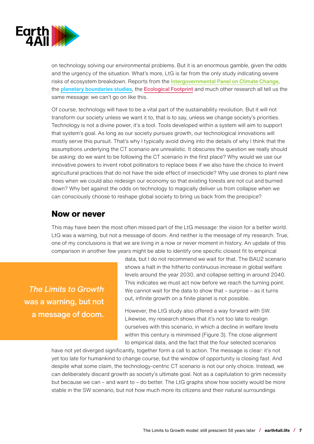

on technology solving our environmental problems. But it is an enormous gamble, given the odds and the urgency of the situation. What's more, LtG is far from the only study indicating severe risks of ecosystem breakdown. Reports from the *[Intergovernmental Panel on Climate Change](https://www.ipcc.ch/report/ar6/wg1/)*, the [planetary boundaries studies](https://www.science.org/doi/10.1126/science.1259855), the [Ecological Footprint](https://www.footprintnetwork.org/our-work/ecological-footprint/) and much other research all tell us the same message: we can't go on like this.

Of course, technology will have to be a vital part of the sustainability revolution. But it will not transform our society unless we want it to, that is to say, unless we change society's priorities. Technology is not a divine power, it's a tool. Tools developed within a system will aim to support that system's goal. As long as our society pursues growth, our technological innovations will mostly serve this pursuit. That's why I typically avoid diving into the details of why I think that the assumptions underlying the CT scenario are unrealistic. It obscures the question we really should be asking: do we want to be following the CT scenario in the first place? Why would we use our innovative powers to invent robot pollinators to replace bees if we also have the choice to invent agricultural practices that do not have the side effect of insecticide? Why use drones to plant new trees when we could also redesign our economy so that existing forests are not cut and burned down? Why bet against the odds on technology to magically deliver us from collapse when we can consciously choose to reshape global society to bring us back from the precipice?

#### **Now or never**

This may have been the most often missed part of the LtG message: the vision for a better world. LtG was a warning, but not a message of doom. And neither is the message of my research. True, one of my conclusions is that we are living in a now or never moment in history. An update of this comparison in another few years might be able to identify one specific closest fit to empirical

*The Limits to Growth* was a warning, but not a message of doom. data, but I do not recommend we wait for that. The BAU2 scenario shows a halt in the hitherto continuous increase in global welfare levels around the year 2030, and collapse setting in around 2040. This indicates we must act now before we reach the turning point. We cannot wait for the data to show that – surprise – as it turns out, infinite growth on a finite planet is not possible.

However, the LtG study also offered a way forward with SW. Likewise, my research shows that it's not too late to realign ourselves with this scenario, in which a decline in welfare levels within this century is minimised (Figure 3). The close alignment to empirical data, and the fact that the four selected scenarios

have not yet diverged significantly, together form a call to action. The message is clear: it's not yet too late for humankind to change course, but the window of opportunity is closing fast. And despite what some claim, the technology-centric CT scenario is not our only choice. Instead, we can deliberately discard growth as society's ultimate goal. Not as a capitulation to grim necessity but because we can – and want to – do better. The LtG graphs show how society would be more stable in the SW scenario, but not how much more its citizens and their natural surroundings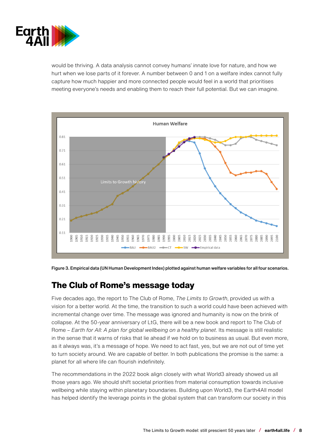

would be thriving. A data analysis cannot convey humans' innate love for nature, and how we hurt when we lose parts of it forever. A number between 0 and 1 on a welfare index cannot fully capture how much happier and more connected people would feel in a world that prioritises meeting everyone's needs and enabling them to reach their full potential. But we can imagine.



Figure 3. Empirical data (UN Human Development Index) plotted against human welfare variables for all four scenarios.

## **The Club of Rome's message today**

Five decades ago, the report to The Club of Rome, *The Limits to Growth*, provided us with a vision for a better world. At the time, the transition to such a world could have been achieved with incremental change over time. The message was ignored and humanity is now on the brink of collapse. At the 50-year anniversary of LtG, there will be a new book and report to The Club of Rome – *Earth for All: A plan for global wellbeing on a healthy planet*. Its message is still realistic in the sense that it warns of risks that lie ahead if we hold on to business as usual. But even more, as it always was, it's a message of hope. We need to act fast, yes, but we are not out of time yet to turn society around. We are capable of better. In both publications the promise is the same: a planet for all where life can flourish indefinitely.

The recommendations in the 2022 book align closely with what World3 already showed us all those years ago. We should shift societal priorities from material consumption towards inclusive wellbeing while staying within planetary boundaries. Building upon World3, the Earth4All model has helped identify the leverage points in the global system that can transform our society in this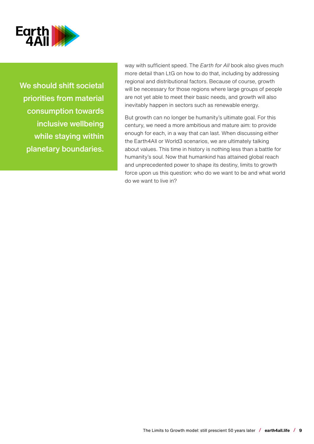

We should shift societal priorities from material consumption towards inclusive wellbeing while staying within planetary boundaries. way with sufficient speed. The *Earth for All* book also gives much more detail than LtG on how to do that, including by addressing regional and distributional factors. Because of course, growth will be necessary for those regions where large groups of people are not yet able to meet their basic needs, and growth will also inevitably happen in sectors such as renewable energy.

But growth can no longer be humanity's ultimate goal. For this century, we need a more ambitious and mature aim: to provide enough for each, in a way that can last. When discussing either the Earth4All or World3 scenarios, we are ultimately talking about values. This time in history is nothing less than a battle for humanity's soul. Now that humankind has attained global reach and unprecedented power to shape its destiny, limits to growth force upon us this question: who do we want to be and what world do we want to live in?